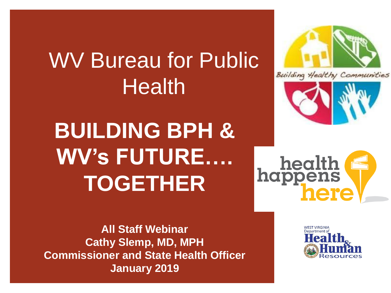## WV Bureau for Public Health

**BUILDING BPH & WV's FUTURE…. TOGETHER**



Building Healthy Communities



health<br>happens here

**All Staff Webinar Cathy Slemp, MD, MPH Commissioner and State Health Officer January 2019**

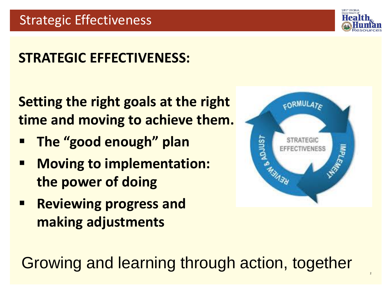

2

## **STRATEGIC EFFECTIVENESS:**

**Setting the right goals at the right time and moving to achieve them.**

- **The "good enough" plan**
- **Moving to implementation: the power of doing**
- **Reviewing progress and making adjustments**



Growing and learning through action, together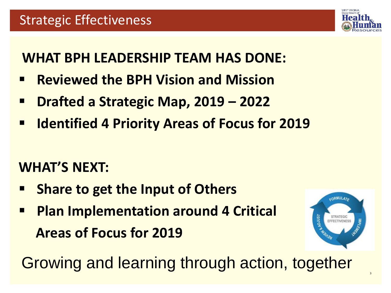

### **WHAT BPH LEADERSHIP TEAM HAS DONE:**

- **Reviewed the BPH Vision and Mission**
- **Drafted a Strategic Map, 2019 – 2022**
- **Example 1 Benuary Interpret 1 Priority Areas of Focus for 2019**

## **WHAT'S NEXT:**

- **Share to get the Input of Others**
- **<u>■ Plan Implementation around 4 Critical</u> Areas of Focus for 2019**



Growing and learning through action, together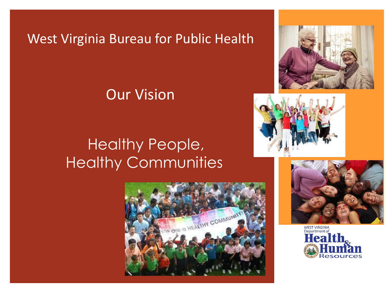### West Virginia Bureau for Public Health

### Our Vision

## Healthy People, Healthy Communities









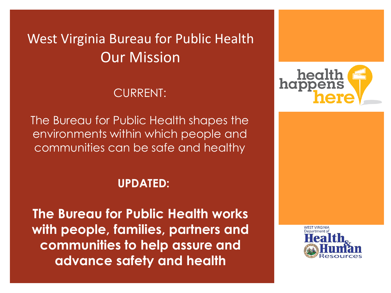## West Virginia Bureau for Public Health Our Mission

#### CURRENT:

The Bureau for Public Health shapes the environments within which people and communities can be safe and healthy

#### **UPDATED:**

**The Bureau for Public Health works with people, families, partners and communities to help assure and advance safety and health**



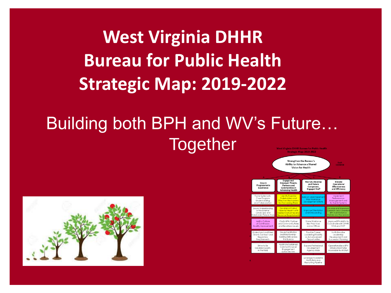**West Virginia DHHR Bureau for Public Health Strategic Map: 2019-2022**

#### Building both BPH and WV's Future… **Together st Virginia DHHR Bureau for Public Healt** Strategic Map: 2019-2022



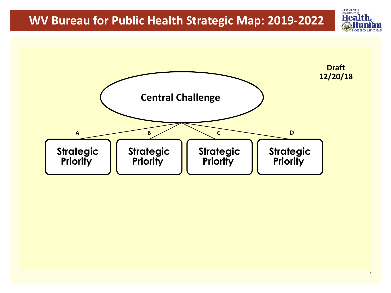

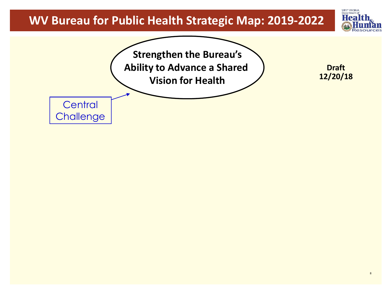

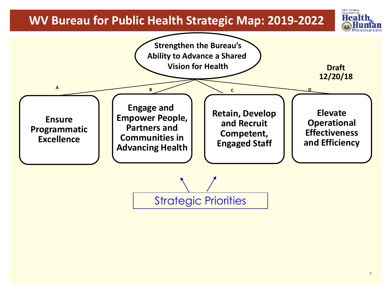

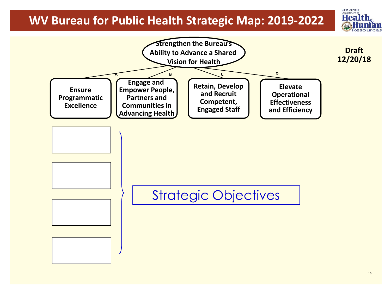

**WEST VIRGIN** Department **Hea**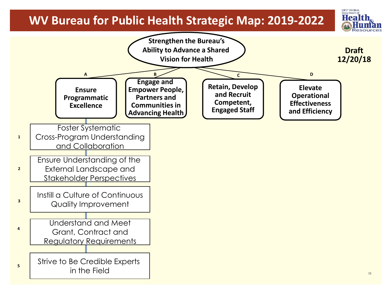Departmen

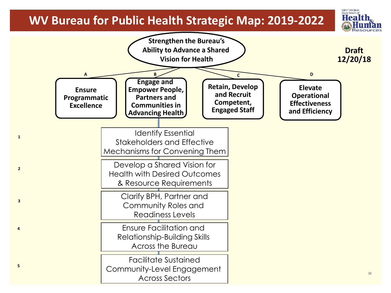

**4**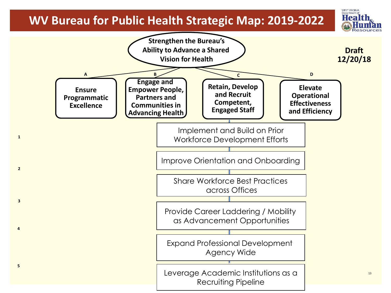**1**

**2**

**3**

**4**

**5**

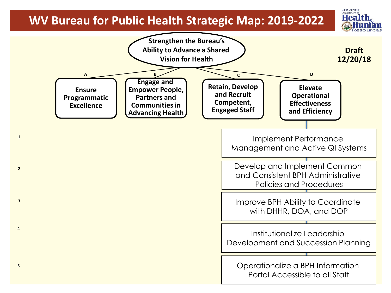**1**

**2**

**3**

**4**

**5**

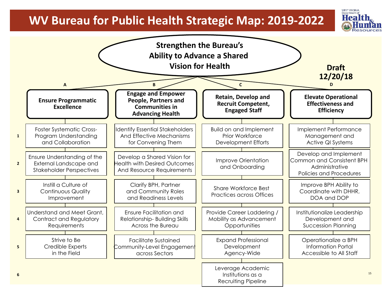

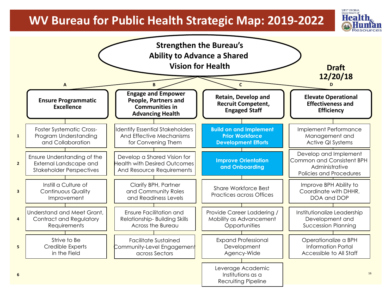

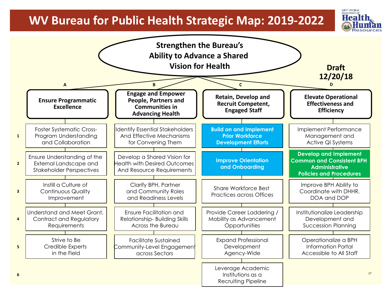

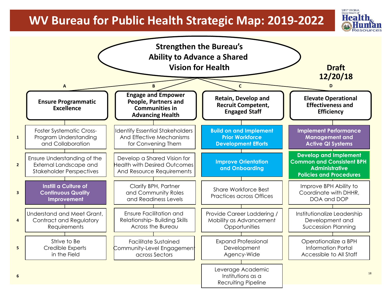

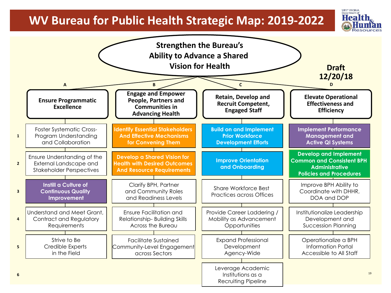

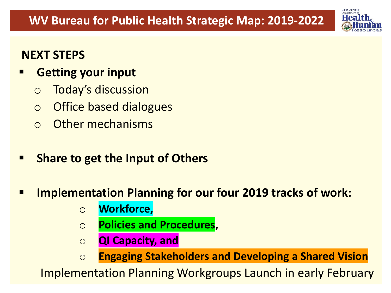

#### **NEXT STEPS**

- **Getting your input**
	- o Today's discussion
	- o Office based dialogues
	- o Other mechanisms
- **Share to get the Input of Others**
- **Implementation Planning for our four 2019 tracks of work:** 
	- o **Workforce,**
	- o **Policies and Procedures,**
	- o **QI Capacity, and**
	- o **Engaging Stakeholders and Developing a Shared Vision**

20 Implementation Planning Workgroups Launch in early February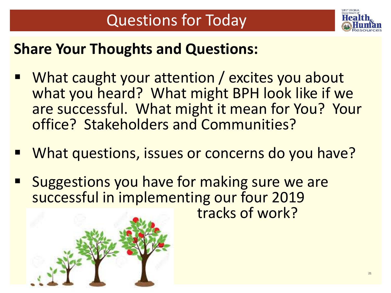

## **Share Your Thoughts and Questions:**

- What caught your attention / excites you about what you heard? What might BPH look like if we are successful. What might it mean for You? Your office? Stakeholders and Communities?
- What questions, issues or concerns do you have?
- Suggestions you have for making sure we are successful in implementing our four 2019 tracks of work?